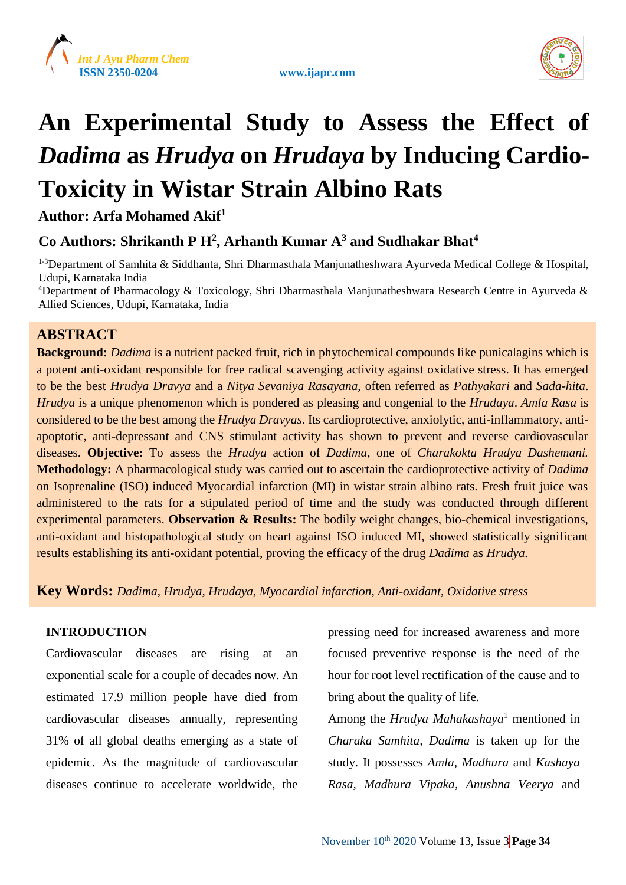





# **An Experimental Study to Assess the Effect of**  *Dadima* **as** *Hrudya* **on** *Hrudaya* **by Inducing Cardio-Toxicity in Wistar Strain Albino Rats**

**Author: Arfa Mohamed Akif<sup>1</sup>**

# **Co Authors: Shrikanth P H<sup>2</sup> , Arhanth Kumar A<sup>3</sup> and Sudhakar Bhat<sup>4</sup>**

<sup>1-3</sup>Department of Samhita & Siddhanta, Shri Dharmasthala Manjunatheshwara Ayurveda Medical College & Hospital, Udupi, Karnataka India

<sup>4</sup>Department of Pharmacology & Toxicology, Shri Dharmasthala Manjunatheshwara Research Centre in Ayurveda & Allied Sciences, Udupi, Karnataka, India

## **ABSTRACT**

**Background:** *Dadima* is a nutrient packed fruit, rich in phytochemical compounds like punicalagins which is a potent anti-oxidant responsible for free radical scavenging activity against oxidative stress. It has emerged to be the best *Hrudya Dravya* and a *Nitya Sevaniya Rasayana*, often referred as *Pathyakari* and *Sada-hita*. *Hrudya* is a unique phenomenon which is pondered as pleasing and congenial to the *Hrudaya*. *Amla Rasa* is considered to be the best among the *Hrudya Dravyas*. Its cardioprotective, anxiolytic, anti-inflammatory, antiapoptotic, anti-depressant and CNS stimulant activity has shown to prevent and reverse cardiovascular diseases. **Objective:** To assess the *Hrudya* action of *Dadima,* one of *Charakokta Hrudya Dashemani.*  **Methodology:** A pharmacological study was carried out to ascertain the cardioprotective activity of *Dadima* on Isoprenaline (ISO) induced Myocardial infarction (MI) in wistar strain albino rats. Fresh fruit juice was administered to the rats for a stipulated period of time and the study was conducted through different experimental parameters. **Observation & Results:** The bodily weight changes, bio-chemical investigations, anti-oxidant and histopathological study on heart against ISO induced MI, showed statistically significant results establishing its anti-oxidant potential, proving the efficacy of the drug *Dadima* as *Hrudya.*

**Key Words:** *Dadima, Hrudya, Hrudaya, Myocardial infarction, Anti-oxidant, Oxidative stress*

#### **INTRODUCTION**

Cardiovascular diseases are rising at an exponential scale for a couple of decades now. An estimated 17.9 million people have died from cardiovascular diseases annually, representing 31% of all global deaths emerging as a state of epidemic. As the magnitude of cardiovascular diseases continue to accelerate worldwide, the

pressing need for increased awareness and more focused preventive response is the need of the hour for root level rectification of the cause and to bring about the quality of life.

Among the *Hrudya Mahakashaya*<sup>1</sup> mentioned in *Charaka Samhita, Dadima* is taken up for the study. It possesses *Amla, Madhura* and *Kashaya Rasa, Madhura Vipaka, Anushna Veerya* and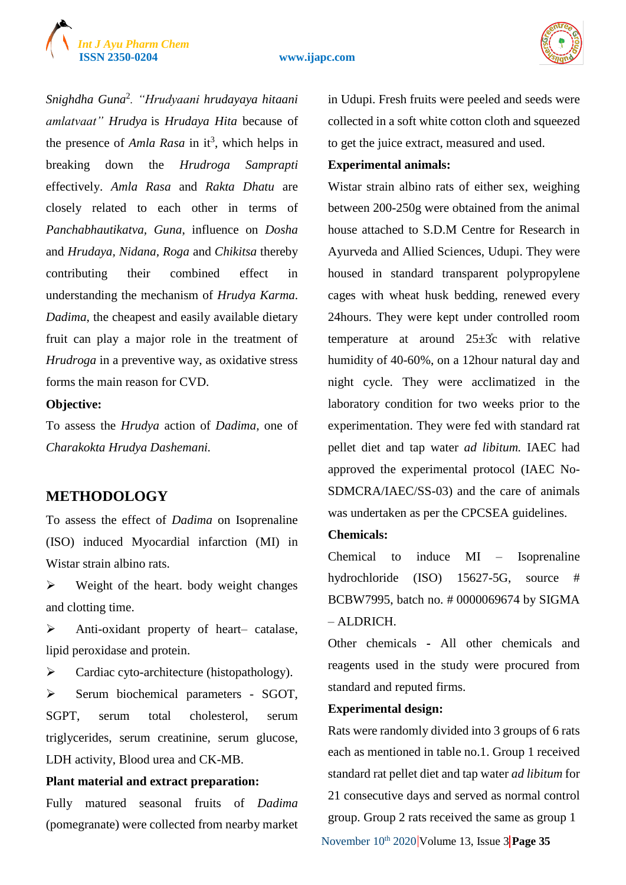# *Int J Ayu Pharm Chem*





*Snighdha Guna*<sup>2</sup> *. "Hrudyaani hrudayaya hitaani amlatvaat" Hrudya* is *Hrudaya Hita* because of the presence of  $Amla Rasa$  in it<sup>3</sup>, which helps in breaking down the *Hrudroga Samprapti* effectively. *Amla Rasa* and *Rakta Dhatu* are closely related to each other in terms of *Panchabhautikatva, Guna*, influence on *Dosha* and *Hrudaya, Nidana, Roga* and *Chikitsa* thereby contributing their combined effect in understanding the mechanism of *Hrudya Karma*. *Dadima*, the cheapest and easily available dietary fruit can play a major role in the treatment of *Hrudroga* in a preventive way, as oxidative stress forms the main reason for CVD.

#### **Objective:**

To assess the *Hrudya* action of *Dadima,* one of *Charakokta Hrudya Dashemani.*

## **METHODOLOGY**

To assess the effect of *Dadima* on Isoprenaline (ISO) induced Myocardial infarction (MI) in Wistar strain albino rats.

 $\triangleright$  Weight of the heart. body weight changes and clotting time.

 Anti-oxidant property of heart– catalase, lipid peroxidase and protein.

 $\triangleright$  Cardiac cyto-architecture (histopathology).

 $\triangleright$  Serum biochemical parameters - SGOT, SGPT, serum total cholesterol, serum triglycerides, serum creatinine, serum glucose, LDH activity, Blood urea and CK-MB.

#### **Plant material and extract preparation:**

Fully matured seasonal fruits of *Dadima* (pomegranate) were collected from nearby market in Udupi. Fresh fruits were peeled and seeds were collected in a soft white cotton cloth and squeezed to get the juice extract, measured and used.

#### **Experimental animals:**

Wistar strain albino rats of either sex, weighing between 200-250g were obtained from the animal house attached to S.D.M Centre for Research in Ayurveda and Allied Sciences, Udupi. They were housed in standard transparent polypropylene cages with wheat husk bedding, renewed every 24hours. They were kept under controlled room temperature at around  $25\pm3c$  with relative humidity of 40-60%, on a 12hour natural day and night cycle. They were acclimatized in the laboratory condition for two weeks prior to the experimentation. They were fed with standard rat pellet diet and tap water *ad libitum.* IAEC had approved the experimental protocol (IAEC No-SDMCRA/IAEC/SS-03) and the care of animals was undertaken as per the CPCSEA guidelines.

#### **Chemicals:**

Chemical to induce MI – Isoprenaline hydrochloride (ISO) 15627-5G, source # BCBW7995, batch no. # 0000069674 by SIGMA – ALDRICH.

Other chemicals **-** All other chemicals and reagents used in the study were procured from standard and reputed firms.

#### **Experimental design:**

November 10<sup>th</sup> 2020 Volume 13, Issue 3 **Page 35** Rats were randomly divided into 3 groups of 6 rats each as mentioned in table no.1. Group 1 received standard rat pellet diet and tap water *ad libitum* for 21 consecutive days and served as normal control group. Group 2 rats received the same as group 1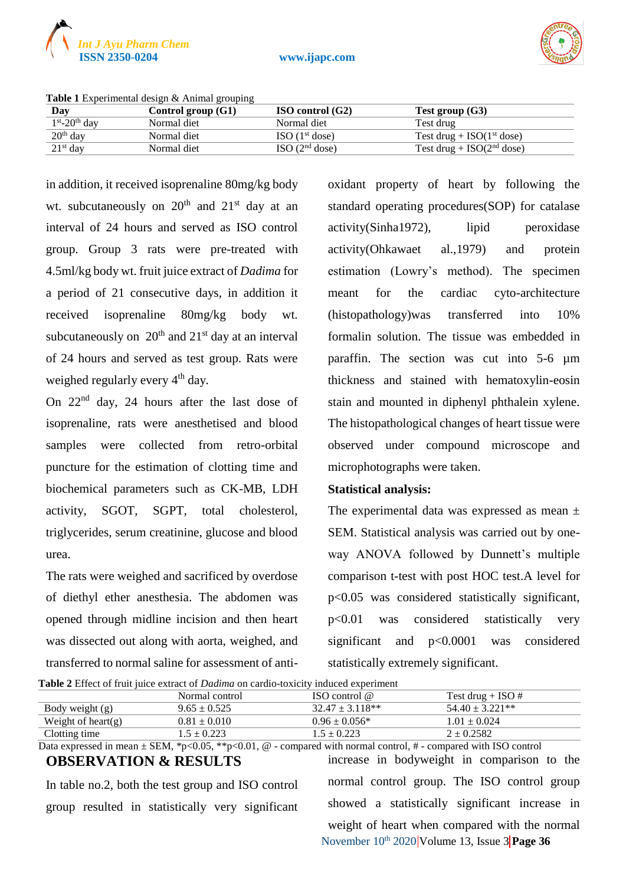

**ISSN 2350-0204 www.ijapc.com**



| Day              | Control group $(G1)$ | $ISO$ control $(G2)$         | Test group $(G3)$              |
|------------------|----------------------|------------------------------|--------------------------------|
| $1st - 20th$ day | Normal diet          | Normal diet                  | Test drug                      |
| $20th$ day       | Normal diet          | $ISO$ (1 <sup>st</sup> dose) | Test drug + $ISO(1^{st}$ dose) |
| $21st$ day       | Normal diet          | ISO(2 <sup>nd</sup> dose)    | Test drug + $ISO(2nd dose)$    |

**Table 1** Experimental design & Animal grouping

in addition, it received isoprenaline 80mg/kg body wt. subcutaneously on  $20<sup>th</sup>$  and  $21<sup>st</sup>$  day at an interval of 24 hours and served as ISO control group. Group 3 rats were pre-treated with 4.5ml/kg body wt. fruit juice extract of *Dadima* for a period of 21 consecutive days, in addition it received isoprenaline 80mg/kg body wt. subcutaneously on  $20<sup>th</sup>$  and  $21<sup>st</sup>$  day at an interval of 24 hours and served as test group. Rats were weighed regularly every 4<sup>th</sup> day.

On 22nd day, 24 hours after the last dose of isoprenaline, rats were anesthetised and blood samples were collected from retro-orbital puncture for the estimation of clotting time and biochemical parameters such as CK-MB, LDH activity, SGOT, SGPT, total cholesterol, triglycerides, serum creatinine, glucose and blood urea.

The rats were weighed and sacrificed by overdose of diethyl ether anesthesia. The abdomen was opened through midline incision and then heart was dissected out along with aorta, weighed, and transferred to normal saline for assessment of antioxidant property of heart by following the standard operating procedures(SOP) for catalase activity(Sinha1972), lipid peroxidase activity(Ohkawaet al.,1979) and protein estimation (Lowry's method). The specimen meant for the cardiac cyto-architecture (histopathology)was transferred into 10% formalin solution. The tissue was embedded in paraffin. The section was cut into 5-6 µm thickness and stained with hematoxylin-eosin stain and mounted in diphenyl phthalein xylene. The histopathological changes of heart tissue were observed under compound microscope and microphotographs were taken.

#### **Statistical analysis:**

The experimental data was expressed as mean  $\pm$ SEM. Statistical analysis was carried out by oneway ANOVA followed by Dunnett's multiple comparison t-test with post HOC test.A level for p<0.05 was considered statistically significant, p<0.01 was considered statistically very significant and p<0.0001 was considered statistically extremely significant.

|  |  |  | <b>Table 2</b> Effect of fruit juice extract of <i>Dadima</i> on cardio-toxicity induced experiment |
|--|--|--|-----------------------------------------------------------------------------------------------------|
|--|--|--|-----------------------------------------------------------------------------------------------------|

| <b>THERE</b> EXPOSUTED FOR THE PROPERTY OF DRUGGING ON CHAIGHT THOROCO CAPOLITICAL |                  |                      |                      |  |  |
|------------------------------------------------------------------------------------|------------------|----------------------|----------------------|--|--|
|                                                                                    | Normal control   | ISO control $\omega$ | Test drug + ISO #    |  |  |
| Body weight (g)                                                                    | $9.65 \pm 0.525$ | $32.47 \pm 3.118**$  | $54.40 \pm 3.221$ ** |  |  |
| Weight of heart $(g)$                                                              | $0.81 \pm 0.010$ | $0.96 \pm 0.056*$    | $1.01 + 0.024$       |  |  |
| Clotting time                                                                      | $1.5 \pm 0.223$  | $1.5 \pm 0.223$      | $2 \pm 0.2582$       |  |  |

Data expressed in mean  $\pm$  SEM, \*p<0.05, \*\*p<0.01, @ - compared with normal control, # - compared with ISO control **OBSERVATION & RESULTS** In table no.2, both the test group and ISO control increase in bodyweight in comparison to the

group resulted in statistically very significant

November 10<sup>th</sup> 2020 Volume 13, Issue 3 Page 36 normal control group. The ISO control group showed a statistically significant increase in weight of heart when compared with the normal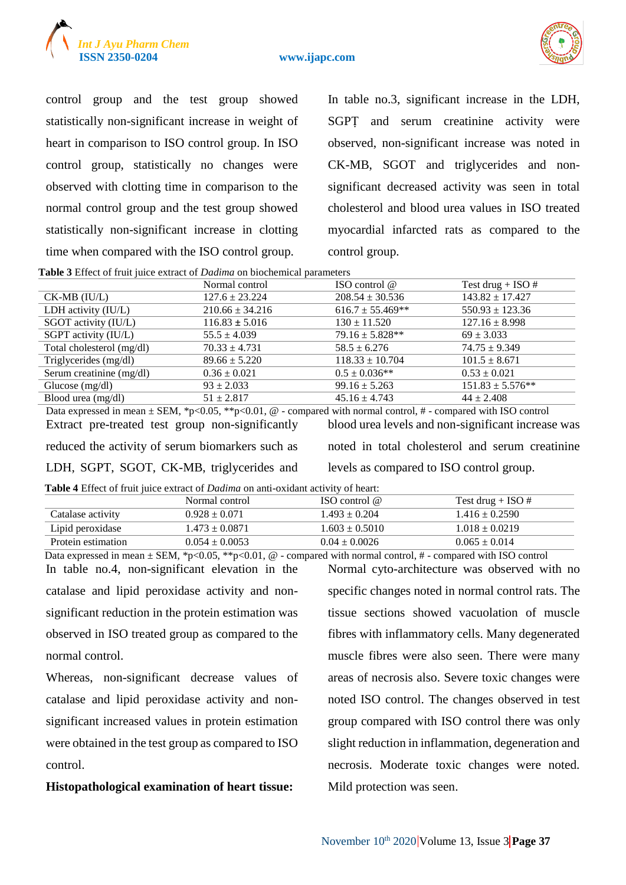



control group and the test group showed statistically non-significant increase in weight of heart in comparison to ISO control group. In ISO control group, statistically no changes were observed with clotting time in comparison to the normal control group and the test group showed statistically non-significant increase in clotting time when compared with the ISO control group.

In table no.3, significant increase in the LDH, SGPṬ and serum creatinine activity were observed, non-significant increase was noted in CK-MB, SGOT and triglycerides and nonsignificant decreased activity was seen in total cholesterol and blood urea values in ISO treated myocardial infarcted rats as compared to the control group.

**Table 3** Effect of fruit juice extract of *Dadima* on biochemical parameters

| Tuble & Enforced Hunt funce entruer of <i>Dumma</i> on crochemical parameters |                     |                      |                      |  |  |
|-------------------------------------------------------------------------------|---------------------|----------------------|----------------------|--|--|
|                                                                               | Normal control      | ISO control $@$      | Test drug + ISO $#$  |  |  |
| $CK-MB$ ( $IU/L$ )                                                            | $127.6 \pm 23.224$  | $208.54 \pm 30.536$  | $143.82 \pm 17.427$  |  |  |
| LDH activity (IU/L)                                                           | $210.66 \pm 34.216$ | $616.7 \pm 55.469**$ | $550.93 \pm 123.36$  |  |  |
| SGOT activity (IU/L)                                                          | $116.83 \pm 5.016$  | $130 \pm 11.520$     | $127.16 \pm 8.998$   |  |  |
| SGPT activity (IU/L)                                                          | $55.5 \pm 4.039$    | $79.16 \pm 5.828**$  | $69 \pm 3.033$       |  |  |
| Total cholesterol (mg/dl)                                                     | $70.33 \pm 4.731$   | $58.5 \pm 6.276$     | $74.75 \pm 9.349$    |  |  |
| Triglycerides (mg/dl)                                                         | $89.66 \pm 5.220$   | $118.33 \pm 10.704$  | $101.5 \pm 8.671$    |  |  |
| Serum creatinine (mg/dl)                                                      | $0.36 \pm 0.021$    | $0.5 \pm 0.036**$    | $0.53 \pm 0.021$     |  |  |
| Glucose $(mg/dl)$                                                             | $93 \pm 2.033$      | $99.16 \pm 5.263$    | $151.83 \pm 5.576**$ |  |  |
| Blood urea (mg/dl)                                                            | $51 \pm 2.817$      | $45.16 \pm 4.743$    | $44 \pm 2.408$       |  |  |

Data expressed in mean  $\pm$  SEM, \*p<0.05, \*\*p<0.01, @ - compared with normal control, # - compared with ISO control Extract pre-treated test group non-significantly reduced the activity of serum biomarkers such as LDH, SGPT, SGOT, CK-MB, triglycerides and blood urea levels and non-significant increase was noted in total cholesterol and serum creatinine levels as compared to ISO control group.

|  |  |  |  |  | <b>Table 4</b> Effect of fruit juice extract of <i>Dadima</i> on anti-oxidant activity of heart: |
|--|--|--|--|--|--------------------------------------------------------------------------------------------------|
|--|--|--|--|--|--------------------------------------------------------------------------------------------------|

| <b>THERE</b> TEMPERATURE THE PARTIE OF DRIVING ON ANY CARGEMENT ACTIVITY OF HOURS.                                   |                    |                    |                     |  |  |
|----------------------------------------------------------------------------------------------------------------------|--------------------|--------------------|---------------------|--|--|
|                                                                                                                      | Normal control     | ISO control $@$    | Test drug + ISO $#$ |  |  |
| Catalase activity                                                                                                    | $0.928 \pm 0.071$  | $1.493 \pm 0.204$  | $1.416 \pm 0.2590$  |  |  |
| Lipid peroxidase                                                                                                     | $1.473 \pm 0.0871$ | $1.603 \pm 0.5010$ | $1.018 \pm 0.0219$  |  |  |
| Protein estimation                                                                                                   | $0.054 \pm 0.0053$ | $0.04 \pm 0.0026$  | $0.065 \pm 0.014$   |  |  |
| Data expressed in mean $\pm$ SEM, *p<0.05, **p<0.01, @ - compared with normal control, # - compared with ISO control |                    |                    |                     |  |  |

In table no.4, non-significant elevation in the catalase and lipid peroxidase activity and nonsignificant reduction in the protein estimation was observed in ISO treated group as compared to the normal control.

Whereas, non-significant decrease values of catalase and lipid peroxidase activity and nonsignificant increased values in protein estimation were obtained in the test group as compared to ISO control.

**Histopathological examination of heart tissue:** 

Normal cyto-architecture was observed with no specific changes noted in normal control rats. The tissue sections showed vacuolation of muscle fibres with inflammatory cells. Many degenerated muscle fibres were also seen. There were many areas of necrosis also. Severe toxic changes were noted ISO control. The changes observed in test group compared with ISO control there was only slight reduction in inflammation, degeneration and necrosis. Moderate toxic changes were noted. Mild protection was seen.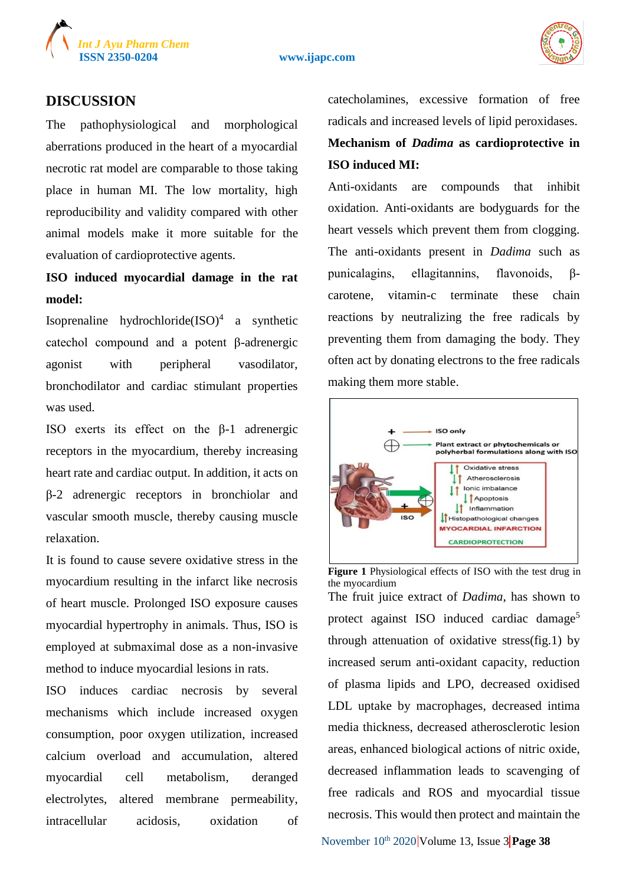



#### **DISCUSSION**

The pathophysiological and morphological aberrations produced in the heart of a myocardial necrotic rat model are comparable to those taking place in human MI. The low mortality, high reproducibility and validity compared with other animal models make it more suitable for the evaluation of cardioprotective agents.

# **ISO induced myocardial damage in the rat model:**

Isoprenaline hydrochloride $(ISO)^4$  a synthetic catechol compound and a potent β-adrenergic agonist with peripheral vasodilator, bronchodilator and cardiac stimulant properties was used.

ISO exerts its effect on the β-1 adrenergic receptors in the myocardium, thereby increasing heart rate and cardiac output. In addition, it acts on β-2 adrenergic receptors in bronchiolar and vascular smooth muscle, thereby causing muscle relaxation.

It is found to cause severe oxidative stress in the myocardium resulting in the infarct like necrosis of heart muscle. Prolonged ISO exposure causes myocardial hypertrophy in animals. Thus, ISO is employed at submaximal dose as a non-invasive method to induce myocardial lesions in rats.

ISO induces cardiac necrosis by several mechanisms which include increased oxygen consumption, poor oxygen utilization, increased calcium overload and accumulation, altered myocardial cell metabolism, deranged electrolytes, altered membrane permeability, intracellular acidosis, oxidation of

catecholamines, excessive formation of free radicals and increased levels of lipid peroxidases.

**Mechanism of** *Dadima* **as cardioprotective in ISO induced MI:**

Anti-oxidants are compounds that inhibit oxidation. Anti-oxidants are bodyguards for the heart vessels which prevent them from clogging. The anti-oxidants present in *Dadima* such as punicalagins, ellagitannins, flavonoids, βcarotene, vitamin-c terminate these chain reactions by neutralizing the free radicals by preventing them from damaging the body. They often act by donating electrons to the free radicals making them more stable.



the myocardium The fruit juice extract of *Dadima*, has shown to protect against ISO induced cardiac damage<sup>5</sup> through attenuation of oxidative stress(fig.1) by increased serum anti-oxidant capacity, reduction of plasma lipids and LPO, decreased oxidised LDL uptake by macrophages, decreased intima media thickness, decreased atherosclerotic lesion areas, enhanced biological actions of nitric oxide, decreased inflammation leads to scavenging of free radicals and ROS and myocardial tissue necrosis. This would then protect and maintain the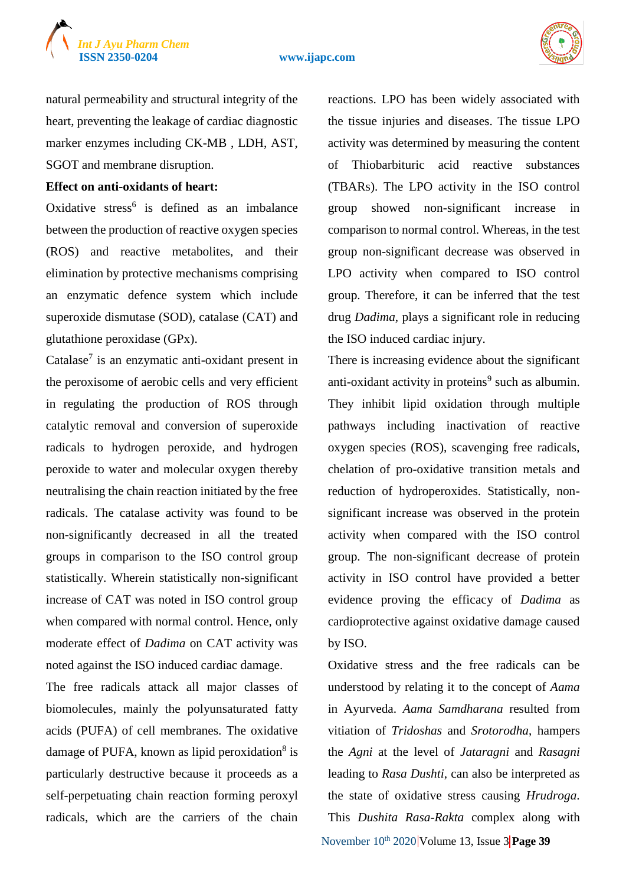#### **ISSN 2350-0204 www.ijapc.com**



natural permeability and structural integrity of the heart, preventing the leakage of cardiac diagnostic marker enzymes including CK-MB , LDH, AST, SGOT and membrane disruption.

**Effect on anti-oxidants of heart:**

Oxidative stress<sup>6</sup> is defined as an imbalance between the production of reactive oxygen species (ROS) and reactive metabolites, and their elimination by protective mechanisms comprising an enzymatic defence system which include superoxide dismutase (SOD), catalase (CAT) and glutathione peroxidase (GPx).

Catalase<sup>7</sup> is an enzymatic anti-oxidant present in the peroxisome of aerobic cells and very efficient in regulating the production of ROS through catalytic removal and conversion of superoxide radicals to hydrogen peroxide, and hydrogen peroxide to water and molecular oxygen thereby neutralising the chain reaction initiated by the free radicals. The catalase activity was found to be non-significantly decreased in all the treated groups in comparison to the ISO control group statistically. Wherein statistically non-significant increase of CAT was noted in ISO control group when compared with normal control. Hence, only moderate effect of *Dadima* on CAT activity was noted against the ISO induced cardiac damage.

The free radicals attack all major classes of biomolecules, mainly the polyunsaturated fatty acids (PUFA) of cell membranes. The oxidative damage of PUFA, known as lipid peroxidation<sup>8</sup> is particularly destructive because it proceeds as a self-perpetuating chain reaction forming peroxyl radicals, which are the carriers of the chain

reactions. LPO has been widely associated with the tissue injuries and diseases. The tissue LPO activity was determined by measuring the content of Thiobarbituric acid reactive substances (TBARs). The LPO activity in the ISO control group showed non-significant increase in comparison to normal control. Whereas, in the test group non-significant decrease was observed in LPO activity when compared to ISO control group. Therefore, it can be inferred that the test drug *Dadima*, plays a significant role in reducing the ISO induced cardiac injury.

There is increasing evidence about the significant anti-oxidant activity in proteins<sup>9</sup> such as albumin. They inhibit lipid oxidation through multiple pathways including inactivation of reactive oxygen species (ROS), scavenging free radicals, chelation of pro-oxidative transition metals and reduction of hydroperoxides. Statistically, nonsignificant increase was observed in the protein activity when compared with the ISO control group. The non-significant decrease of protein activity in ISO control have provided a better evidence proving the efficacy of *Dadima* as cardioprotective against oxidative damage caused by ISO.

November 10<sup>th</sup> 2020 **Volume 13, Issue 3 Page 39** Oxidative stress and the free radicals can be understood by relating it to the concept of *Aama* in Ayurveda. *Aama Samdharana* resulted from vitiation of *Tridoshas* and *Srotorodha*, hampers the *Agni* at the level of *Jataragni* and *Rasagni* leading to *Rasa Dushti*, can also be interpreted as the state of oxidative stress causing *Hrudroga*. This *Dushita Rasa-Rakta* complex along with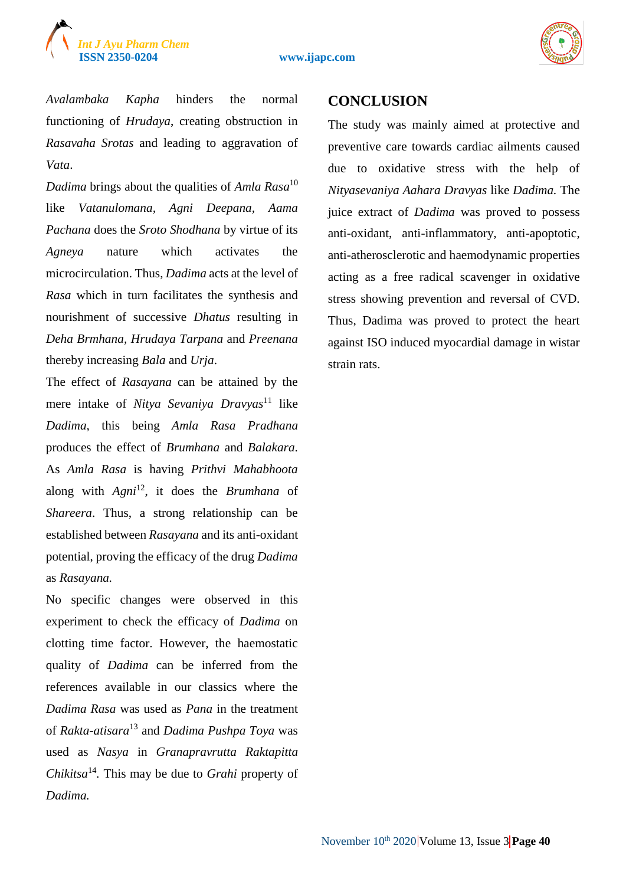



*Avalambaka Kapha* hinders the normal functioning of *Hrudaya*, creating obstruction in *Rasavaha Srotas* and leading to aggravation of *Vata*.

*Dadima* brings about the qualities of *Amla Rasa*<sup>10</sup> like *Vatanulomana, Agni Deepana, Aama Pachana* does the *Sroto Shodhana* by virtue of its *Agneya* nature which activates the microcirculation. Thus, *Dadima* acts at the level of *Rasa* which in turn facilitates the synthesis and nourishment of successive *Dhatus* resulting in *Deha Brmhana, Hrudaya Tarpana* and *Preenana* thereby increasing *Bala* and *Urja*.

The effect of *Rasayana* can be attained by the mere intake of *Nitya Sevaniya Dravyas*<sup>11</sup> like *Dadima*, this being *Amla Rasa Pradhana* produces the effect of *Brumhana* and *Balakara*. As *Amla Rasa* is having *Prithvi Mahabhoota* along with *Agni*<sup>12</sup>, it does the *Brumhana* of *Shareera*. Thus, a strong relationship can be established between *Rasayana* and its anti-oxidant potential, proving the efficacy of the drug *Dadima* as *Rasayana.*

No specific changes were observed in this experiment to check the efficacy of *Dadima* on clotting time factor. However, the haemostatic quality of *Dadima* can be inferred from the references available in our classics where the *Dadima Rasa* was used as *Pana* in the treatment of *Rakta-atisara*<sup>13</sup> and *Dadima Pushpa Toya* was used as *Nasya* in *Granapravrutta Raktapitta Chikitsa*<sup>14</sup> *.* This may be due to *Grahi* property of *Dadima.*

#### **CONCLUSION**

The study was mainly aimed at protective and preventive care towards cardiac ailments caused due to oxidative stress with the help of *Nityasevaniya Aahara Dravyas* like *Dadima.* The juice extract of *Dadima* was proved to possess anti-oxidant, anti-inflammatory, anti-apoptotic, anti-atherosclerotic and haemodynamic properties acting as a free radical scavenger in oxidative stress showing prevention and reversal of CVD. Thus, Dadima was proved to protect the heart against ISO induced myocardial damage in wistar strain rats.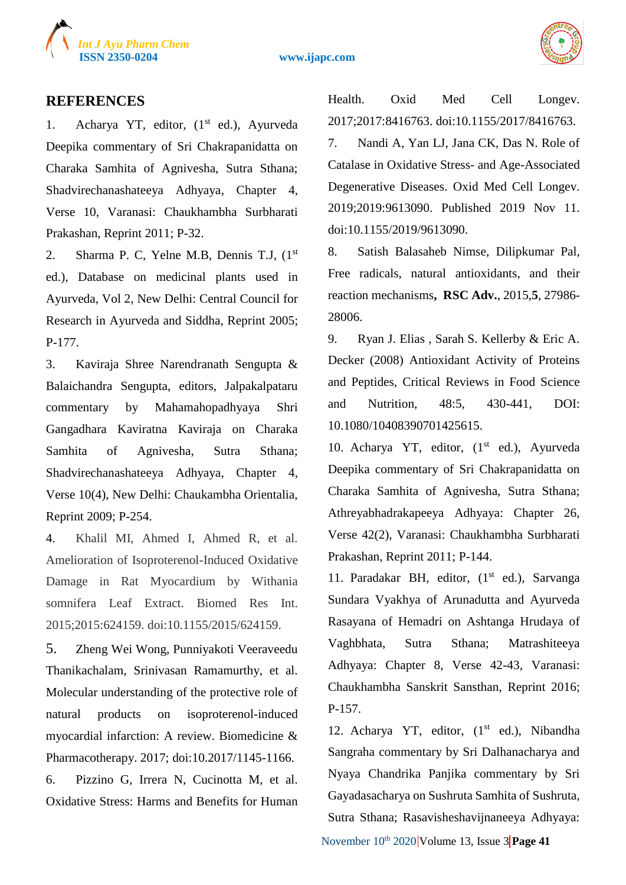

**ISSN 2350-0204 www.ijapc.com**



#### **REFERENCES**

1. Acharya YT, editor,  $(1<sup>st</sup> ed.),$  Ayurveda Deepika commentary of Sri Chakrapanidatta on Charaka Samhita of Agnivesha, Sutra Sthana; Shadvirechanashateeya Adhyaya, Chapter 4, Verse 10, Varanasi: Chaukhambha Surbharati Prakashan, Reprint 2011; P-32.

2. Sharma P. C, Yelne M.B, Dennis T.J,  $(1<sup>st</sup>)$ ed.), Database on medicinal plants used in Ayurveda, Vol 2, New Delhi: Central Council for Research in Ayurveda and Siddha, Reprint 2005; P-177.

3. Kaviraja Shree Narendranath Sengupta & Balaichandra Sengupta, editors, Jalpakalpataru commentary by Mahamahopadhyaya Shri Gangadhara Kaviratna Kaviraja on Charaka Samhita of Agnivesha, Sutra Sthana; Shadvirechanashateeya Adhyaya, Chapter 4, Verse 10(4), New Delhi: Chaukambha Orientalia, Reprint 2009; P-254.

4. Khalil MI, Ahmed I, Ahmed R, et al. Amelioration of Isoproterenol-Induced Oxidative Damage in Rat Myocardium by Withania somnifera Leaf Extract. Biomed Res Int. 2015;2015:624159. doi:10.1155/2015/624159.

5. Zheng Wei Wong, Punniyakoti Veeraveedu Thanikachalam, Srinivasan Ramamurthy, et al. Molecular understanding of the protective role of natural products on isoproterenol-induced myocardial infarction: A review. Biomedicine & Pharmacotherapy. 2017; doi:10.2017/1145-1166.

6. Pizzino G, Irrera N, Cucinotta M, et al. Oxidative Stress: Harms and Benefits for Human Health. Oxid Med Cell Longev. 2017;2017:8416763. doi:10.1155/2017/8416763. 7. Nandi A, Yan LJ, Jana CK, Das N. Role of Catalase in Oxidative Stress- and Age-Associated Degenerative Diseases. Oxid Med Cell Longev. 2019;2019:9613090. Published 2019 Nov 11. doi:10.1155/2019/9613090.

8. Satish Balasaheb Nimse, Dilipkumar Pal, Free radicals, natural antioxidants, and their reaction mechanisms**, RSC Adv.**, 2015,**5**, 27986- 28006.

9. Ryan J. Elias , Sarah S. Kellerby & Eric A. Decker (2008) Antioxidant Activity of Proteins and Peptides, Critical Reviews in Food Science and Nutrition, 48:5, 430-441, DOI: 10.1080/10408390701425615.

10. Acharya YT, editor,  $(1<sup>st</sup> ed.)$ , Ayurveda Deepika commentary of Sri Chakrapanidatta on Charaka Samhita of Agnivesha, Sutra Sthana; Athreyabhadrakapeeya Adhyaya: Chapter 26, Verse 42(2), Varanasi: Chaukhambha Surbharati Prakashan, Reprint 2011; P-144.

11. Paradakar BH, editor,  $(1<sup>st</sup>$  ed.), Sarvanga Sundara Vyakhya of Arunadutta and Ayurveda Rasayana of Hemadri on Ashtanga Hrudaya of Vaghbhata, Sutra Sthana; Matrashiteeya Adhyaya: Chapter 8, Verse 42-43, Varanasi: Chaukhambha Sanskrit Sansthan, Reprint 2016; P-157.

November 10<sup>th</sup> 2020 Volume 13, Issue 3 Page 41 12. Acharya YT, editor,  $(1<sup>st</sup> ed.),$  Nibandha Sangraha commentary by Sri Dalhanacharya and Nyaya Chandrika Panjika commentary by Sri Gayadasacharya on Sushruta Samhita of Sushruta, Sutra Sthana; Rasavisheshavijnaneeya Adhyaya: